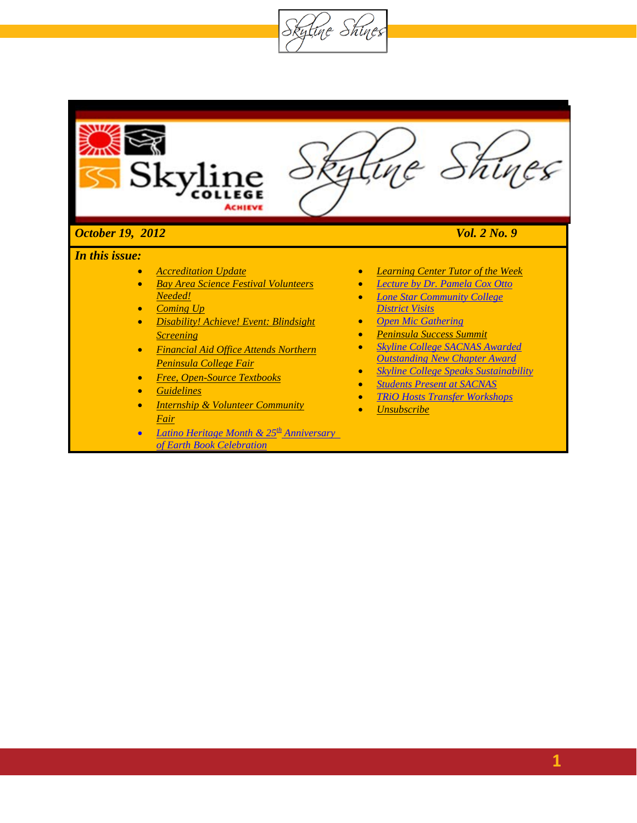

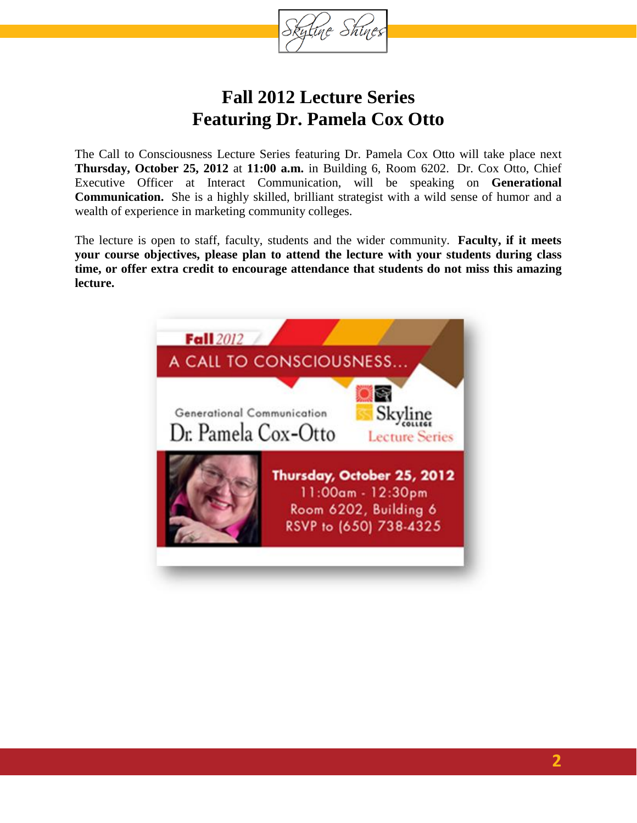

## **Fall 2012 Lecture Series Featuring Dr. Pamela Cox Otto**

The Call to Consciousness Lecture Series featuring Dr. Pamela Cox Otto will take place next **Thursday, October 25, 2012** at **11:00 a.m.** in Building 6, Room 6202. Dr. Cox Otto, Chief Executive Officer at Interact Communication, will be speaking on **Generational Communication.** She is a highly skilled, brilliant strategist with a wild sense of humor and a wealth of experience in marketing community colleges.

The lecture is open to staff, faculty, students and the wider community. **Faculty, if it meets your course objectives, please plan to attend the lecture with your students during class time, or offer extra credit to encourage attendance that students do not miss this amazing lecture.**

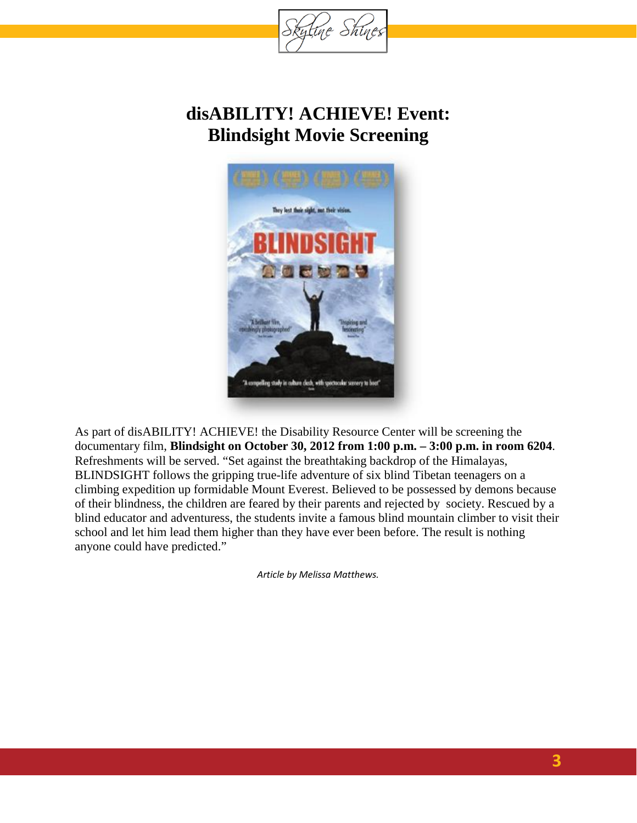

### **disABILITY! ACHIEVE! Event: Blindsight Movie Screening**



As part of disABILITY! ACHIEVE! the Disability Resource Center will be screening the documentary film, **Blindsight on October 30, 2012 from 1:00 p.m. – 3:00 p.m. in room 6204**. Refreshments will be served. "Set against the breathtaking backdrop of the Himalayas, BLINDSIGHT follows the gripping true-life adventure of six blind Tibetan teenagers on a climbing expedition up formidable Mount Everest. Believed to be possessed by demons because of their blindness, the children are feared by their parents and rejected by society. Rescued by a blind educator and adventuress, the students invite a famous blind mountain climber to visit their school and let him lead them higher than they have ever been before. The result is nothing anyone could have predicted."

*Article by Melissa Matthews.*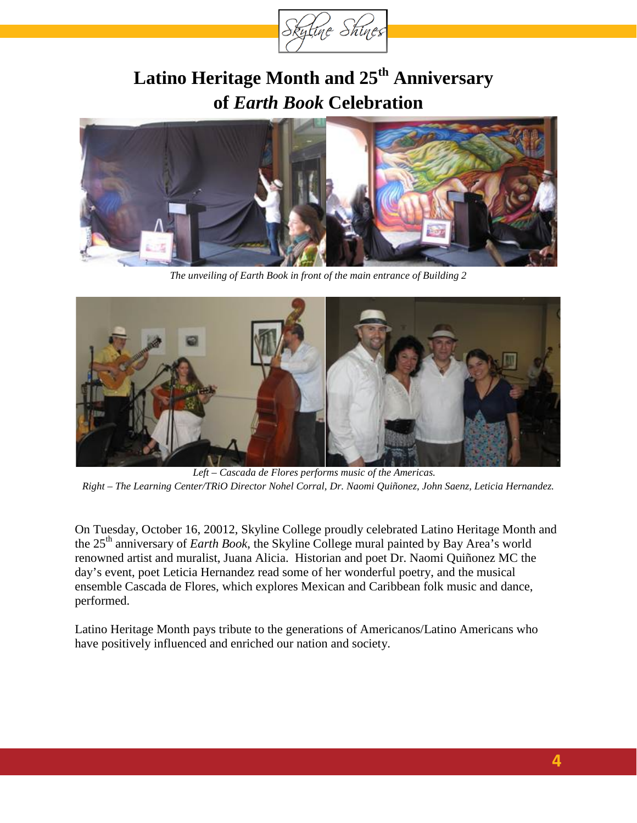

# **Latino Heritage Month and 25th Anniversary of** *Earth Book* **Celebration**



*The unveiling of Earth Book in front of the main entrance of Building 2*



*Left – Cascada de Flores performs music of the Americas. Right – The Learning Center/TRiO Director Nohel Corral, Dr. Naomi Quiñonez, John Saenz, Leticia Hernandez.*

On Tuesday, October 16, 20012, Skyline College proudly celebrated Latino Heritage Month and the 25th anniversary of *Earth Book*, the Skyline College mural painted by Bay Area's world renowned artist and muralist, Juana Alicia. Historian and poet Dr. Naomi Quiñonez MC the day's event, poet Leticia Hernandez read some of her wonderful poetry, and the musical ensemble Cascada de Flores, which explores Mexican and Caribbean folk music and dance, performed.

Latino Heritage Month pays tribute to the generations of Americanos/Latino Americans who have positively influenced and enriched our nation and society.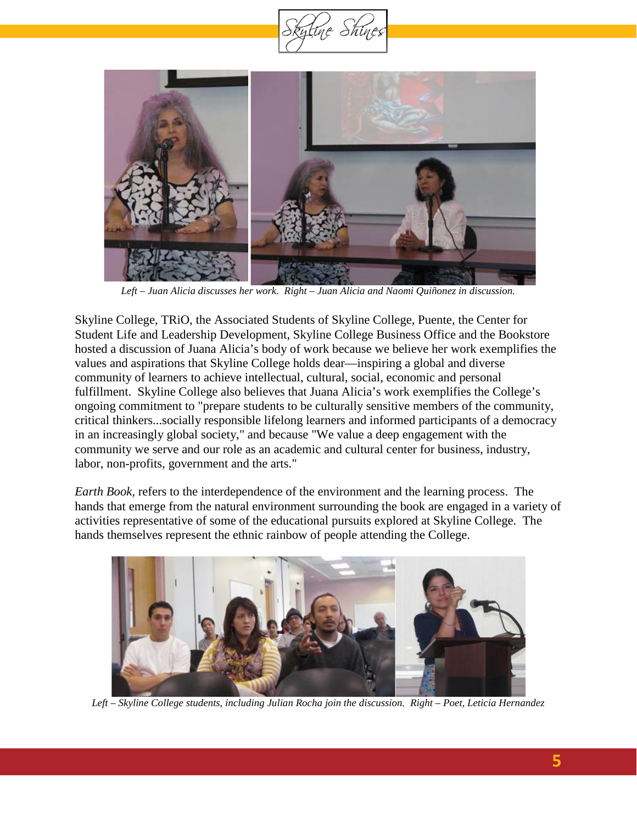



*Left – Juan Alicia discusses her work. Right – Juan Alicia and Naomi Quiñonez in discussion.*

Skyline College, TRiO, the Associated Students of Skyline College, Puente, the Center for Student Life and Leadership Development, Skyline College Business Office and the Bookstore hosted a discussion of Juana Alicia's body of work because we believe her work exemplifies the values and aspirations that Skyline College holds dear—inspiring a global and diverse community of learners to achieve intellectual, cultural, social, economic and personal fulfillment. Skyline College also believes that Juana Alicia's work exemplifies the College's ongoing commitment to "prepare students to be culturally sensitive members of the community, critical thinkers...socially responsible lifelong learners and informed participants of a democracy in an increasingly global society," and because "We value a deep engagement with the community we serve and our role as an academic and cultural center for business, industry, labor, non-profits, government and the arts."

*Earth Book,* refers to the interdependence of the environment and the learning process. The hands that emerge from the natural environment surrounding the book are engaged in a variety of activities representative of some of the educational pursuits explored at Skyline College. The hands themselves represent the ethnic rainbow of people attending the College.



*Left – Skyline College students, including Julian Rocha join the discussion. Right – Poet, Leticia Hernandez*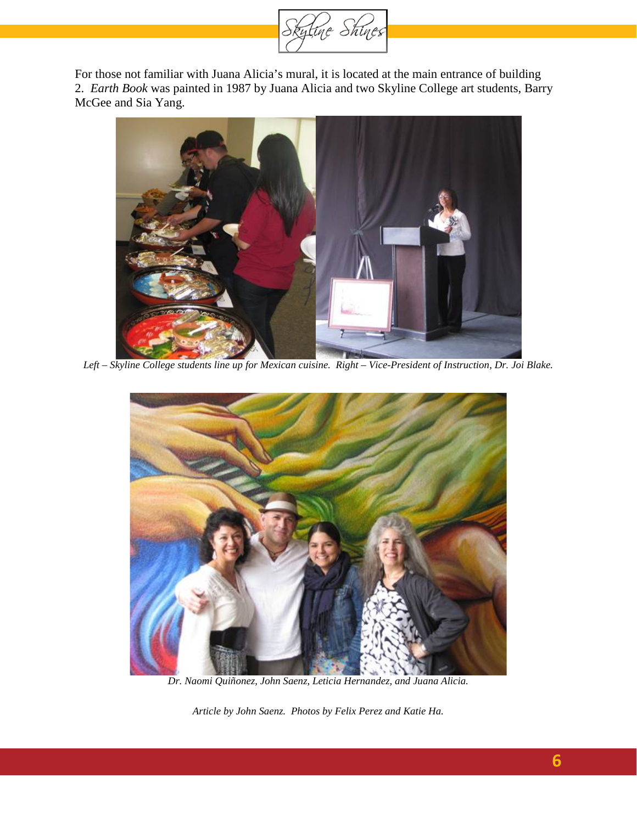

For those not familiar with Juana Alicia's mural, it is located at the main entrance of building 2. *Earth Book* was painted in 1987 by Juana Alicia and two Skyline College art students, Barry McGee and Sia Yang.



*Left – Skyline College students line up for Mexican cuisine. Right – Vice-President of Instruction, Dr. Joi Blake.*



*Dr. Naomi Quiñonez, John Saenz, Leticia Hernandez, and Juana Alicia.*

*Article by John Saenz. Photos by Felix Perez and Katie Ha.*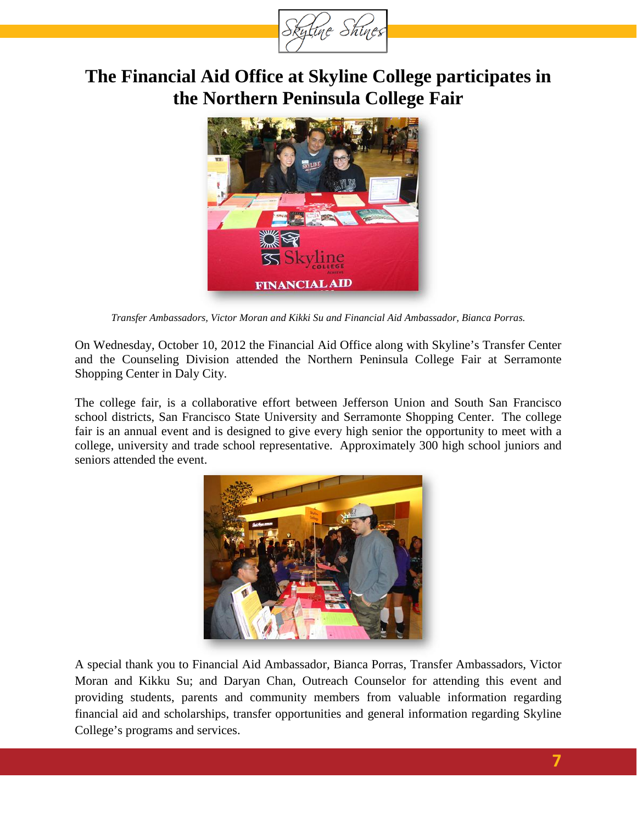

## **The Financial Aid Office at Skyline College participates in the Northern Peninsula College Fair**



*Transfer Ambassadors, Victor Moran and Kikki Su and Financial Aid Ambassador, Bianca Porras.*

On Wednesday, October 10, 2012 the Financial Aid Office along with Skyline's Transfer Center and the Counseling Division attended the Northern Peninsula College Fair at Serramonte Shopping Center in Daly City.

The college fair, is a collaborative effort between Jefferson Union and South San Francisco school districts, San Francisco State University and Serramonte Shopping Center. The college fair is an annual event and is designed to give every high senior the opportunity to meet with a college, university and trade school representative. Approximately 300 high school juniors and seniors attended the event.



A special thank you to Financial Aid Ambassador, Bianca Porras, Transfer Ambassadors, Victor Moran and Kikku Su; and Daryan Chan, Outreach Counselor for attending this event and providing students, parents and community members from valuable information regarding financial aid and scholarships, transfer opportunities and general information regarding Skyline College's programs and services.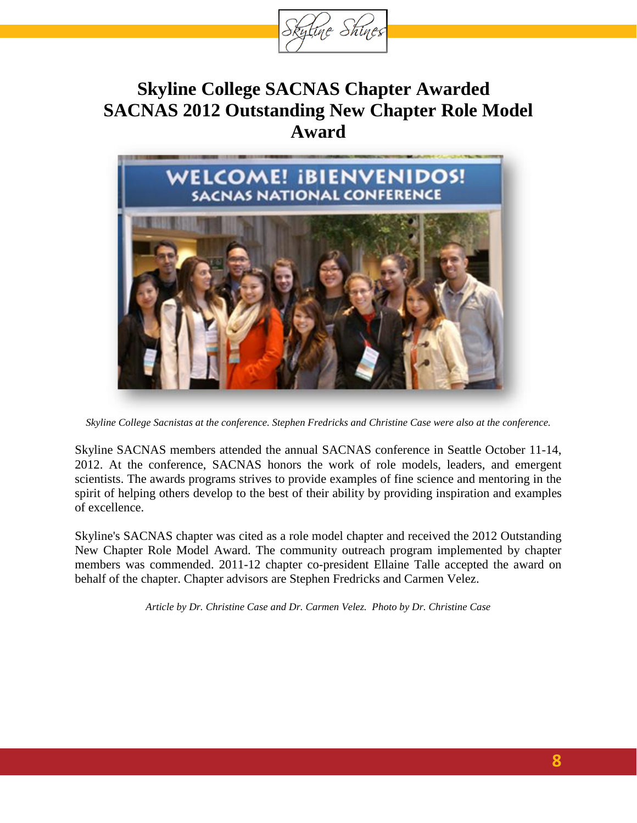<span id="page-7-0"></span>

## **Skyline College SACNAS Chapter Awarded SACNAS 2012 Outstanding New Chapter Role Model Award**



*Skyline College Sacnistas at the conference. Stephen Fredricks and Christine Case were also at the conference.*

Skyline SACNAS members attended the annual SACNAS conference in Seattle October 11-14, 2012. At the conference, SACNAS honors the work of role models, leaders, and emergent scientists. The awards programs strives to provide examples of fine science and mentoring in the spirit of helping others develop to the best of their ability by providing inspiration and examples of excellence.

Skyline's SACNAS chapter was cited as a role model chapter and received the 2012 Outstanding New Chapter Role Model Award. The community outreach program implemented by chapter members was commended. 2011-12 chapter co-president Ellaine Talle accepted the award on behalf of the chapter. Chapter advisors are Stephen Fredricks and Carmen Velez.

*Article by Dr. Christine Case and Dr. Carmen Velez. Photo by Dr. Christine Case*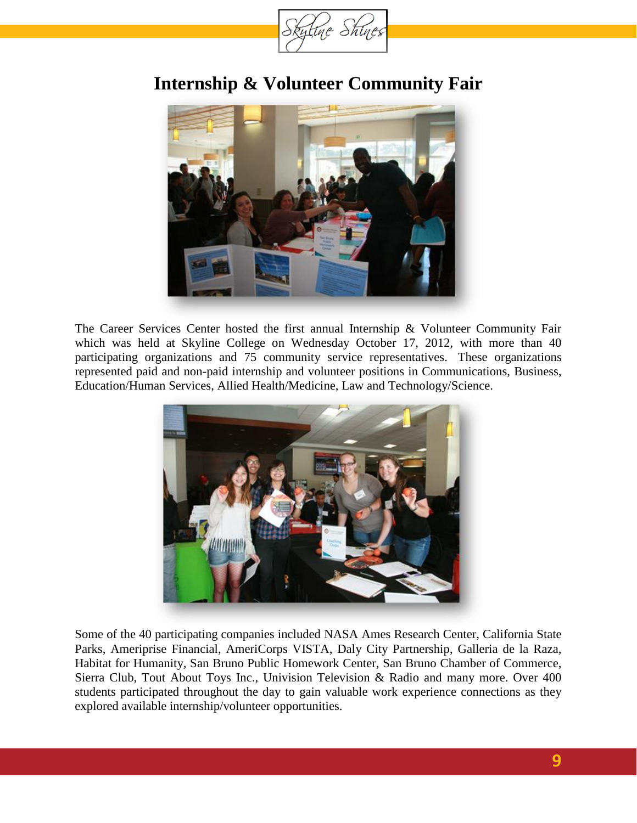

## **Internship & Volunteer Community Fair**



The Career Services Center hosted the first annual Internship & Volunteer Community Fair which was held at Skyline College on Wednesday October 17, 2012, with more than 40 participating organizations and 75 community service representatives. These organizations represented paid and non-paid internship and volunteer positions in Communications, Business, Education/Human Services, Allied Health/Medicine, Law and Technology/Science.



Some of the 40 participating companies included NASA Ames Research Center, California State Parks, Ameriprise Financial, AmeriCorps VISTA, Daly City Partnership, Galleria de la Raza, Habitat for Humanity, San Bruno Public Homework Center, San Bruno Chamber of Commerce, Sierra Club, Tout About Toys Inc., Univision Television & Radio and many more. Over 400 students participated throughout the day to gain valuable work experience connections as they explored available internship/volunteer opportunities.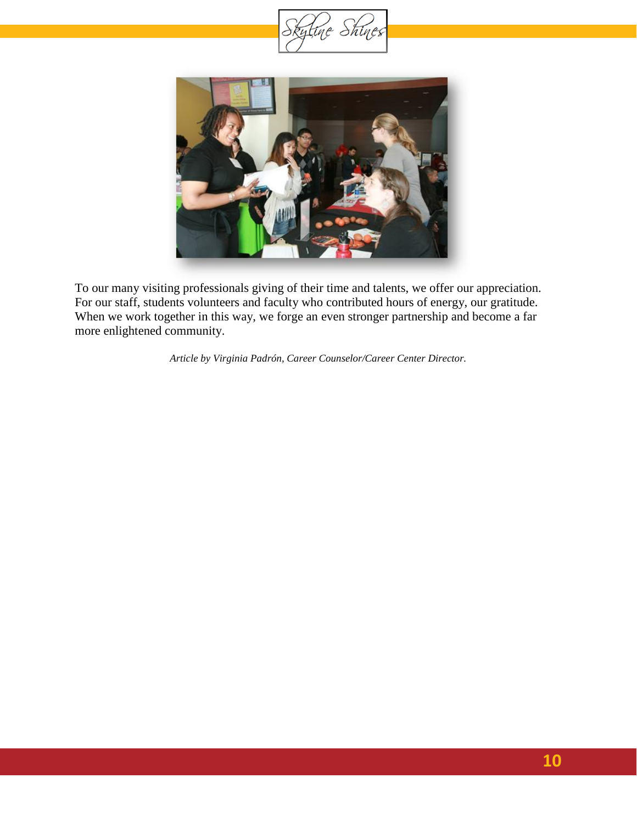



To our many visiting professionals giving of their time and talents, we offer our appreciation. For our staff, students volunteers and faculty who contributed hours of energy, our gratitude. When we work together in this way, we forge an even stronger partnership and become a far more enlightened community.

*Article by Virginia Padrón, Career Counselor/Career Center Director.*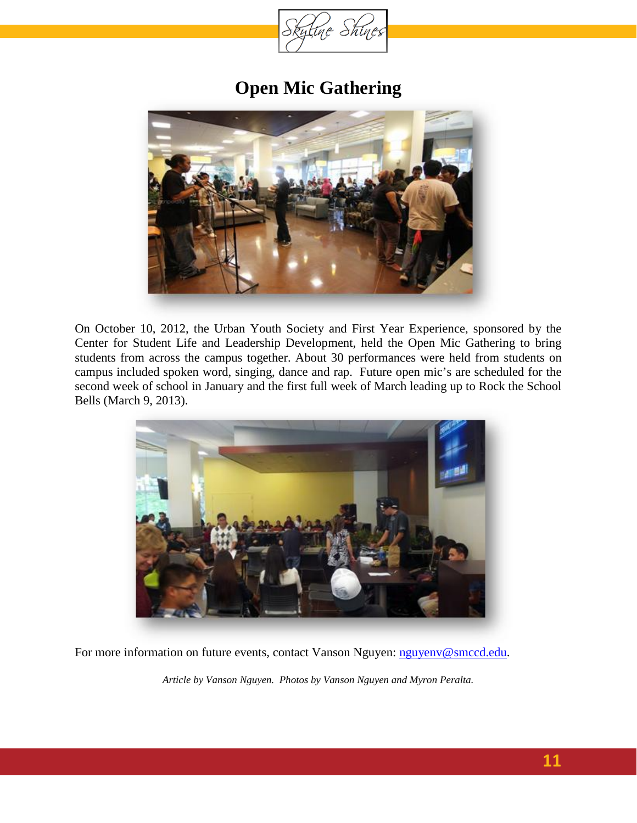

## **Open Mic Gathering**



On October 10, 2012, the Urban Youth Society and First Year Experience, sponsored by the Center for Student Life and Leadership Development, held the Open Mic Gathering to bring students from across the campus together. About 30 performances were held from students on campus included spoken word, singing, dance and rap. Future open mic's are scheduled for the second week of school in January and the first full week of March leading up to Rock the School Bells (March 9, 2013).



For more information on future events, contact Vanson Nguyen: [nguyenv@smccd.edu.](mailto:nguyenv@smccd.edu)

*Article by Vanson Nguyen. Photos by Vanson Nguyen and Myron Peralta.*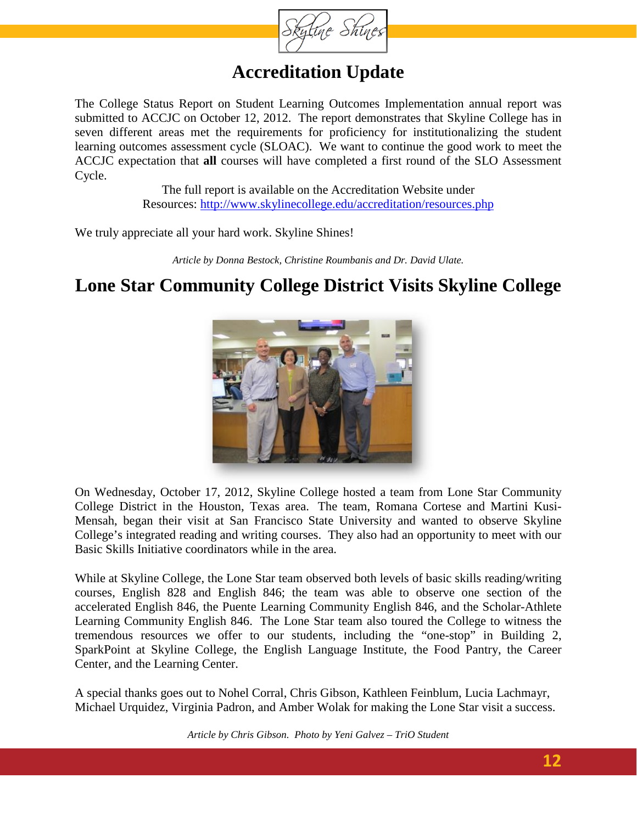

### **Accreditation Update**

The College Status Report on Student Learning Outcomes Implementation annual report was submitted to ACCJC on October 12, 2012. The report demonstrates that Skyline College has in seven different areas met the requirements for proficiency for institutionalizing the student learning outcomes assessment cycle (SLOAC). We want to continue the good work to meet the ACCJC expectation that **all** courses will have completed a first round of the SLO Assessment Cycle.

> The full report is available on the Accreditation Website under Resources:<http://www.skylinecollege.edu/accreditation/resources.php>

We truly appreciate all your hard work. Skyline Shines!

*Article by Donna Bestock, Christine Roumbanis and Dr. David Ulate.*

### **Lone Star Community College District Visits Skyline College**



On Wednesday, October 17, 2012, Skyline College hosted a team from Lone Star Community College District in the Houston, Texas area. The team, Romana Cortese and Martini Kusi-Mensah, began their visit at San Francisco State University and wanted to observe Skyline College's integrated reading and writing courses. They also had an opportunity to meet with our Basic Skills Initiative coordinators while in the area.

While at Skyline College, the Lone Star team observed both levels of basic skills reading/writing courses, English 828 and English 846; the team was able to observe one section of the accelerated English 846, the Puente Learning Community English 846, and the Scholar-Athlete Learning Community English 846. The Lone Star team also toured the College to witness the tremendous resources we offer to our students, including the "one-stop" in Building 2, SparkPoint at Skyline College, the English Language Institute, the Food Pantry, the Career Center, and the Learning Center.

A special thanks goes out to Nohel Corral, Chris Gibson, Kathleen Feinblum, Lucia Lachmayr, Michael Urquidez, Virginia Padron, and Amber Wolak for making the Lone Star visit a success.

*Article by Chris Gibson. Photo by Yeni Galvez – TriO Student*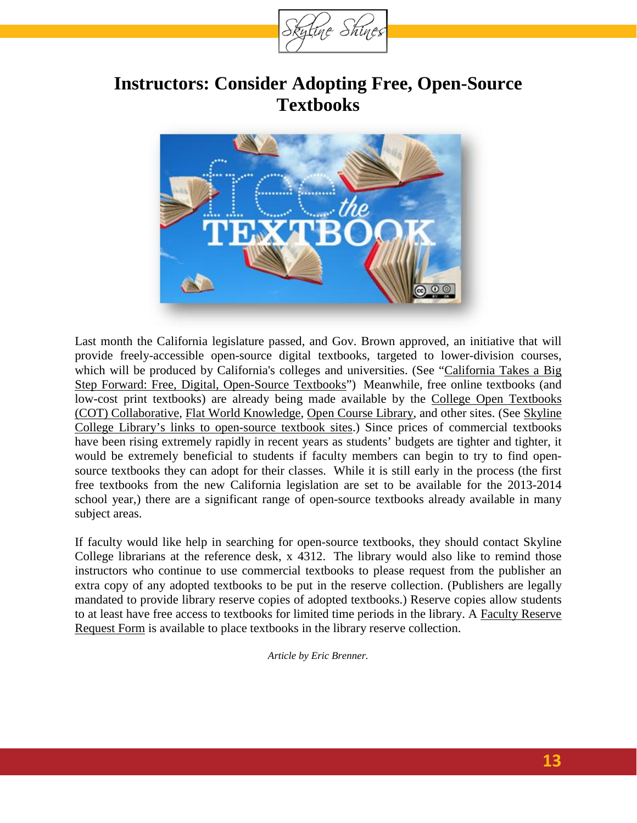

### **Instructors: Consider Adopting Free, Open-Source Textbooks**



Last month the California legislature passed, and Gov. Brown approved, an initiative that will provide freely-accessible open-source digital textbooks, targeted to lower-division courses, which will be produced by California's colleges and universities. (See ["California Takes a Big](http://www.theatlantic.com/technology/archive/2012/09/california-takes-a-big-step-forward-free-digital-open-source-textbooks/263047/)  [Step Forward: Free, Digital, Open-Source Textbooks"](http://www.theatlantic.com/technology/archive/2012/09/california-takes-a-big-step-forward-free-digital-open-source-textbooks/263047/)) Meanwhile, free online textbooks (and low-cost print textbooks) are already being made available by the College Open Textbooks [\(COT\) Collaborative,](http://collegeopentextbooks.org/opentextbookcontent/open-textbooks-by-subject) [Flat World Knowledge,](http://www.flatworldknowledge.com/) [Open Course Library,](https://sites.google.com/a/sbctc.edu/opencourselibrary/) and other sites. (See [Skyline](http://www.skylinecollege.edu/library/findbooks.html#etextbooks)  [College Library's links to open-source textbook sites.](http://www.skylinecollege.edu/library/findbooks.html#etextbooks)) Since prices of commercial textbooks have been rising extremely rapidly in recent years as students' budgets are tighter and tighter, it would be extremely beneficial to students if faculty members can begin to try to find opensource textbooks they can adopt for their classes. While it is still early in the process (the first free textbooks from the new California legislation are set to be available for the 2013-2014 school year,) there are a significant range of open-source textbooks already available in many subject areas.

If faculty would like help in searching for open-source textbooks, they should contact Skyline College librarians at the reference desk, x 4312. The library would also like to remind those instructors who continue to use commercial textbooks to please request from the publisher an extra copy of any adopted textbooks to be put in the reserve collection. (Publishers are legally mandated to provide library reserve copies of adopted textbooks.) Reserve copies allow students to at least have free access to textbooks for limited time periods in the library. A [Faculty Reserve](http://www.skylinecollege.edu/library/fac-reserve-form.html)  [Request Form](http://www.skylinecollege.edu/library/fac-reserve-form.html) is available to place textbooks in the library reserve collection.

*Article by Eric Brenner.*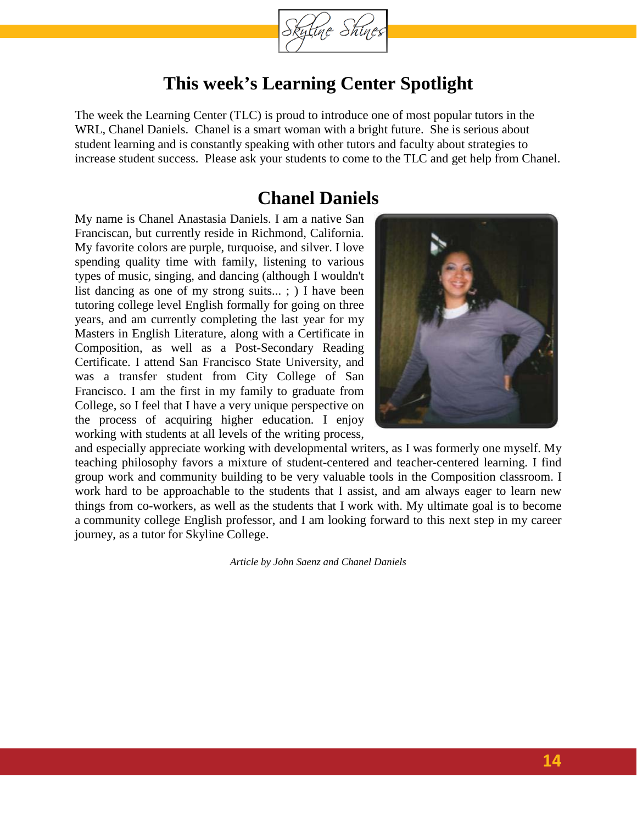

### **This week's Learning Center Spotlight**

The week the Learning Center (TLC) is proud to introduce one of most popular tutors in the WRL, Chanel Daniels. Chanel is a smart woman with a bright future. She is serious about student learning and is constantly speaking with other tutors and faculty about strategies to increase student success. Please ask your students to come to the TLC and get help from Chanel.

### **Chanel Daniels**

My name is Chanel Anastasia Daniels. I am a native San Franciscan, but currently reside in Richmond, California. My favorite colors are purple, turquoise, and silver. I love spending quality time with family, listening to various types of music, singing, and dancing (although I wouldn't list dancing as one of my strong suits... ; ) I have been tutoring college level English formally for going on three years, and am currently completing the last year for my Masters in English Literature, along with a Certificate in Composition, as well as a Post-Secondary Reading Certificate. I attend San Francisco State University, and was a transfer student from City College of San Francisco. I am the first in my family to graduate from College, so I feel that I have a very unique perspective on the process of acquiring higher education. I enjoy working with students at all levels of the writing process,



and especially appreciate working with developmental writers, as I was formerly one myself. My teaching philosophy favors a mixture of student-centered and teacher-centered learning. I find group work and community building to be very valuable tools in the Composition classroom. I work hard to be approachable to the students that I assist, and am always eager to learn new things from co-workers, as well as the students that I work with. My ultimate goal is to become a community college English professor, and I am looking forward to this next step in my career journey, as a tutor for Skyline College.

*Article by John Saenz and Chanel Daniels*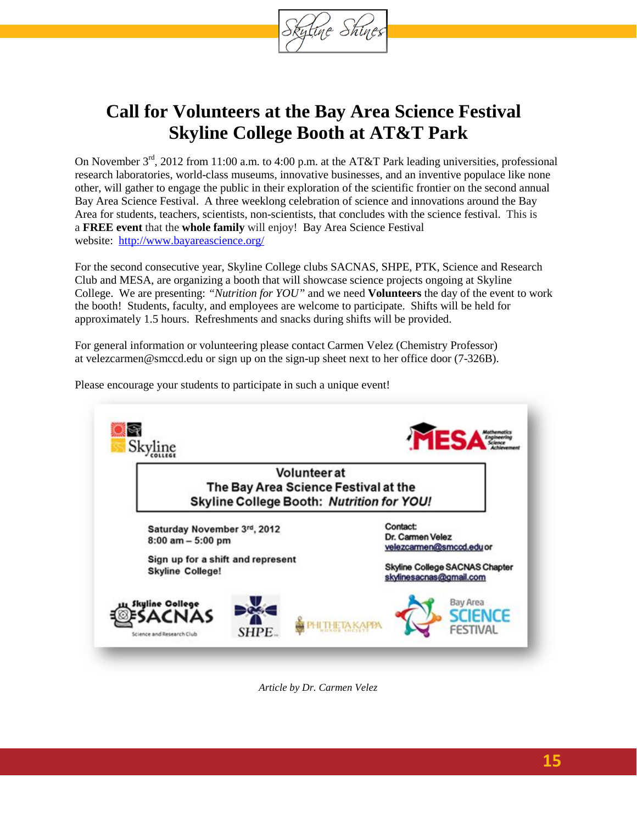

## **Call for Volunteers at the Bay Area Science Festival Skyline College Booth at AT&T Park**

On November 3<sup>rd</sup>, 2012 from 11:00 a.m. to 4:00 p.m. at the AT&T Park leading universities, professional research laboratories, world-class museums, innovative businesses, and an inventive populace like none other, will gather to engage the public in their exploration of the scientific frontier on the second annual Bay Area Science Festival. A three weeklong celebration of science and innovations around the Bay Area for students, teachers, scientists, non-scientists, that concludes with the science festival. This is a **FREE event** that the **whole family** will enjoy! Bay Area Science Festival website: <http://www.bayareascience.org/>

For the second consecutive year, Skyline College clubs SACNAS, SHPE, PTK, Science and Research Club and MESA, are organizing a booth that will showcase science projects ongoing at Skyline College. We are presenting: *"Nutrition for YOU"* and we need **Volunteers** the day of the event to work the booth! Students, faculty, and employees are welcome to participate. Shifts will be held for approximately 1.5 hours. Refreshments and snacks during shifts will be provided.

For general information or volunteering please contact Carmen Velez (Chemistry Professor) a[t velezcarmen@smccd.edu](mailto:velezcarmen@smccd.edu) or sign up on the sign-up sheet next to her office door (7-326B).



Please encourage your students to participate in such a unique event!

*Article by Dr. Carmen Velez*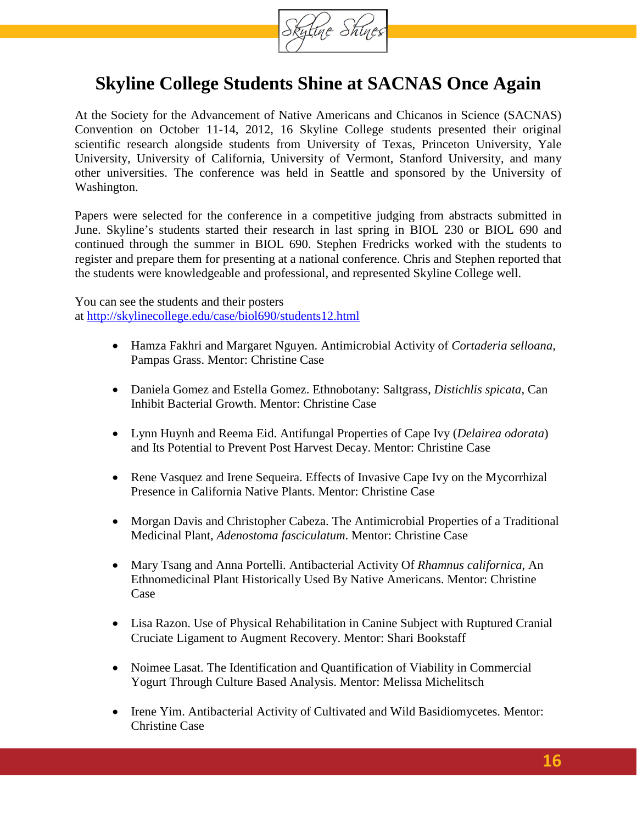

## **Skyline College Students Shine at SACNAS Once Again**

At the Society for the Advancement of Native Americans and Chicanos in Science (SACNAS) Convention on October 11-14, 2012, 16 Skyline College students presented their original scientific research alongside students from University of Texas, Princeton University, Yale University, University of California, University of Vermont, Stanford University, and many other universities. The conference was held in Seattle and sponsored by the University of Washington.

Papers were selected for the conference in a competitive judging from abstracts submitted in June. Skyline's students started their research in last spring in BIOL 230 or BIOL 690 and continued through the summer in BIOL 690. Stephen Fredricks worked with the students to register and prepare them for presenting at a national conference. Chris and Stephen reported that the students were knowledgeable and professional, and represented Skyline College well.

You can see the students and their posters at<http://skylinecollege.edu/case/biol690/students12.html>

- Hamza Fakhri and Margaret Nguyen. Antimicrobial Activity of *Cortaderia selloana*, Pampas Grass. Mentor: Christine Case
- Daniela Gomez and Estella Gomez. Ethnobotany: Saltgrass, *Distichlis spicata*, Can Inhibit Bacterial Growth. Mentor: Christine Case
- Lynn Huynh and Reema Eid. Antifungal Properties of Cape Ivy (*Delairea odorata*) and Its Potential to Prevent Post Harvest Decay. Mentor: Christine Case
- Rene Vasquez and Irene Sequeira. Effects of Invasive Cape Ivy on the Mycorrhizal Presence in California Native Plants. Mentor: Christine Case
- Morgan Davis and Christopher Cabeza. The Antimicrobial Properties of a Traditional Medicinal Plant, *Adenostoma fasciculatum*. Mentor: Christine Case
- Mary Tsang and Anna Portelli. Antibacterial Activity Of *Rhamnus californica*, An Ethnomedicinal Plant Historically Used By Native Americans. Mentor: Christine Case
- Lisa Razon. Use of Physical Rehabilitation in Canine Subject with Ruptured Cranial Cruciate Ligament to Augment Recovery. Mentor: Shari Bookstaff
- Noimee Lasat. The Identification and Quantification of Viability in Commercial Yogurt Through Culture Based Analysis. Mentor: Melissa Michelitsch
- Irene Yim. Antibacterial Activity of Cultivated and Wild Basidiomycetes. Mentor: Christine Case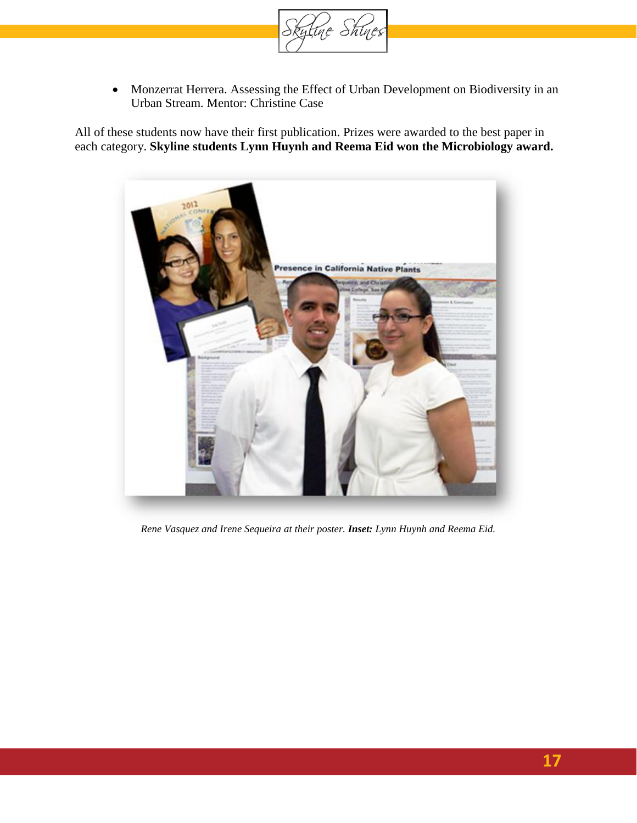

• Monzerrat Herrera. Assessing the Effect of Urban Development on Biodiversity in an Urban Stream. Mentor: Christine Case

All of these students now have their first publication. Prizes were awarded to the best paper in each category. **Skyline students Lynn Huynh and Reema Eid won the Microbiology award.**



*Rene Vasquez and Irene Sequeira at their poster. Inset: Lynn Huynh and Reema Eid.*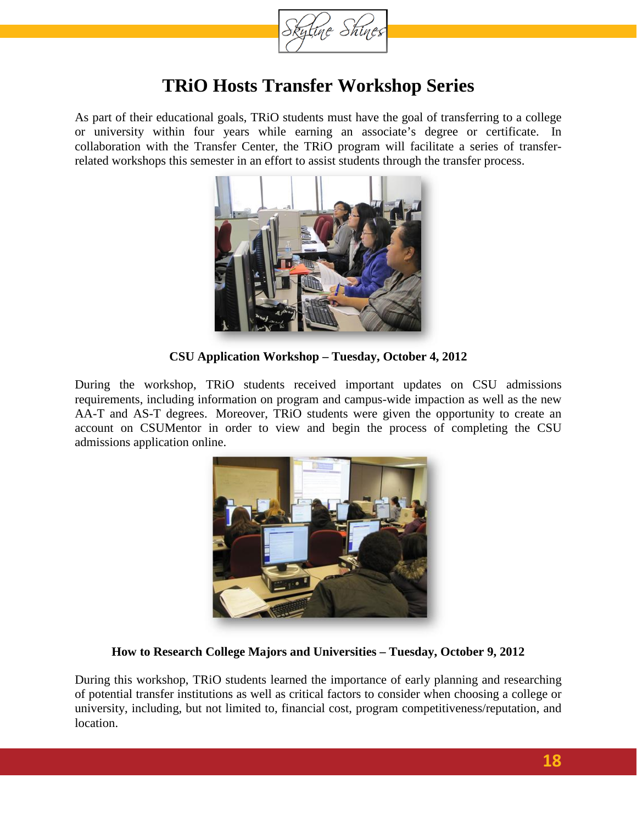

### **TRiO Hosts Transfer Workshop Series**

As part of their educational goals, TRiO students must have the goal of transferring to a college or university within four years while earning an associate's degree or certificate. In collaboration with the Transfer Center, the TRiO program will facilitate a series of transferrelated workshops this semester in an effort to assist students through the transfer process.



**CSU Application Workshop – Tuesday, October 4, 2012**

During the workshop, TRiO students received important updates on CSU admissions requirements, including information on program and campus-wide impaction as well as the new AA-T and AS-T degrees. Moreover, TRiO students were given the opportunity to create an account on CSUMentor in order to view and begin the process of completing the CSU admissions application online.



#### **How to Research College Majors and Universities – Tuesday, October 9, 2012**

During this workshop, TRiO students learned the importance of early planning and researching of potential transfer institutions as well as critical factors to consider when choosing a college or university, including, but not limited to, financial cost, program competitiveness/reputation, and location.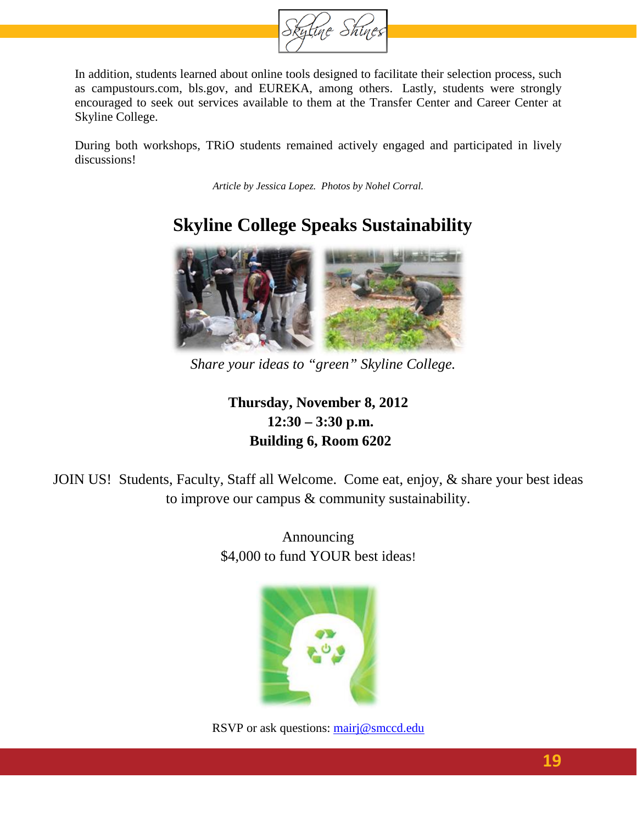

In addition, students learned about online tools designed to facilitate their selection process, such as campustours.com, bls.gov, and EUREKA, among others. Lastly, students were strongly encouraged to seek out services available to them at the Transfer Center and Career Center at Skyline College.

During both workshops, TRiO students remained actively engaged and participated in lively discussions!

*Article by Jessica Lopez. Photos by Nohel Corral.*

# **Skyline College Speaks Sustainability**



*Share your ideas to "green" Skyline College.*

**Thursday, November 8, 2012 12:30 – 3:30 p.m. Building 6, Room 6202**

JOIN US! Students, Faculty, Staff all Welcome. Come eat, enjoy, & share your best ideas to improve our campus & community sustainability.

> Announcing \$4,000 to fund YOUR best ideas!



RSVP or ask questions: [mairj@smccd.edu](mailto:mairj@smccd.edu)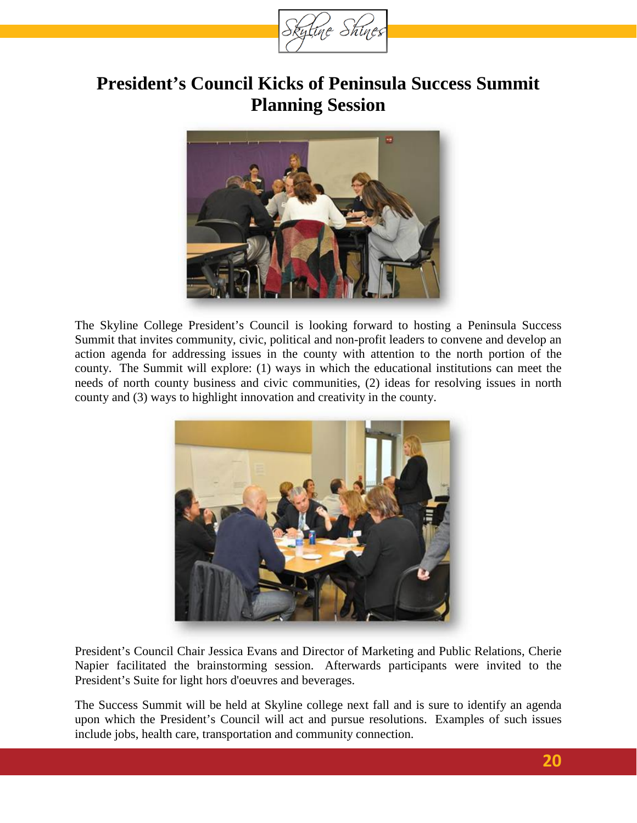

## **President's Council Kicks of Peninsula Success Summit Planning Session**



The Skyline College President's Council is looking forward to hosting a Peninsula Success Summit that invites community, civic, political and non-profit leaders to convene and develop an action agenda for addressing issues in the county with attention to the north portion of the county. The Summit will explore: (1) ways in which the educational institutions can meet the needs of north county business and civic communities, (2) ideas for resolving issues in north county and (3) ways to highlight innovation and creativity in the county.



President's Council Chair Jessica Evans and Director of Marketing and Public Relations, Cherie Napier facilitated the brainstorming session. Afterwards participants were invited to the President's Suite for light hors d'oeuvres and beverages.

The Success Summit will be held at Skyline college next fall and is sure to identify an agenda upon which the President's Council will act and pursue resolutions. Examples of such issues include jobs, health care, transportation and community connection.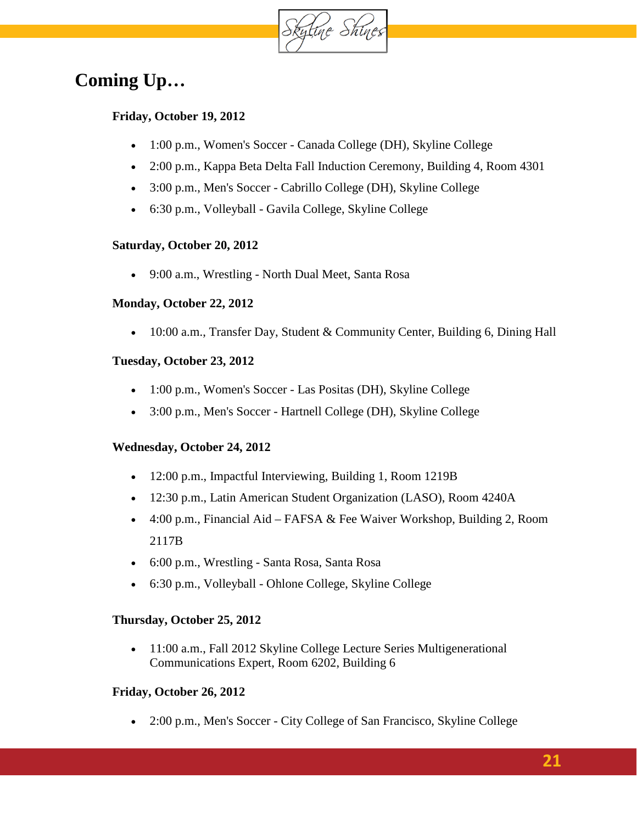

# **Coming Up…**

#### **Friday, October 19, 2012**

- 1:00 p.m., Women's Soccer [Canada College \(DH\),](http://www.skylinecollege.edu/events/index.php?id=skypio%40my.smccd.edu&eventid=44c4eupkab9puapctgch9clkjs) Skyline College
- 2:00 p.m., [Kappa Beta Delta Fall Induction Ceremony,](http://www.skylinecollege.edu/events/index.php?id=skypio%40my.smccd.edu&eventid=fuvrr02fqj9j8jlca20730no48) [Building 4, Room 4301](https://websmart.smccd.edu/webschedule/maps/Array/index.php?bld=4)
- 3:00 p.m., Men's Soccer [Cabrillo College \(DH\),](http://www.skylinecollege.edu/events/index.php?id=skypio%40my.smccd.edu&eventid=e92tpenr731jbm0pv526ko56bg) Skyline College
- 6:30 p.m., Volleyball [Gavila College,](http://www.skylinecollege.edu/events/index.php?id=skypio%40my.smccd.edu&eventid=nme4lbd3qdr4euc1lec8u57v8c) Skyline College

#### **Saturday, October 20, 2012**

• 9:00 a.m., Wrestling - [North Dual Meet,](http://www.skylinecollege.edu/events/index.php?id=skypio%40my.smccd.edu&eventid=pk3hk9tl8m1n4paf4fdmc9s95g) Santa Rosa

#### **Monday, October 22, 2012**

• 10:00 a.m., [Transfer Day,](http://www.skylinecollege.edu/events/index.php?id=skypio%40my.smccd.edu&eventid=8l8oqh60jj3utdrf253ialh07g) [Student & Community Center, Building 6,](https://websmart.smccd.edu/webschedule/maps/Array/index.php?bld=6) Dining Hall

#### **Tuesday, October 23, 2012**

- 1:00 p.m., [Women's Soccer -](http://www.skylinecollege.edu/events/index.php?id=skypio%40my.smccd.edu&eventid=6407l2i1dobmvmsu7mq6g6nj38) Las Positas (DH), Skyline College
- 3:00 p.m., Men's Soccer [Hartnell College \(DH\),](http://www.skylinecollege.edu/events/index.php?id=skypio%40my.smccd.edu&eventid=6k4qpm1mp2fkl27sq7ubb9ogs0) Skyline College

#### **Wednesday, October 24, 2012**

- 12:00 p.m., [Impactful Interviewing,](http://www.skylinecollege.edu/events/index.php?id=skypio%40my.smccd.edu&eventid=1t7e06cb56isecu07etfo5lmq4) [Building 1, Room 1219B](https://websmart.smccd.edu/webschedule/maps/Array/index.php?bld=1)
- 12:30 p.m., [Latin American Student Organization \(LASO\),](http://www.skylinecollege.edu/events/index.php?id=skypio%40my.smccd.edu&eventid=9j0l5gcon4b0v0is37j8tlr7fs) Room 4240A
- 4:00 p.m., Financial Aid [FAFSA & Fee Waiver Workshop,](http://www.skylinecollege.edu/events/index.php?id=skypio%40my.smccd.edu&eventid=c0hqoa6b6dpdt5jo0gjoc4rfp0) [Building 2, Room](https://websmart.smccd.edu/webschedule/maps/Array/index.php?bld=2)  [2117B](https://websmart.smccd.edu/webschedule/maps/Array/index.php?bld=2)
- 6:00 p.m., [Wrestling -](http://www.skylinecollege.edu/events/index.php?id=skypio%40my.smccd.edu&eventid=g86rag6tfto5c2v7ds3kbbn9jg) Santa Rosa, Santa Rosa
- 6:30 p.m., Volleyball [Ohlone College,](http://www.skylinecollege.edu/events/index.php?id=skypio%40my.smccd.edu&eventid=rqfpvp4a58c28lu62t75j0viqg) Skyline College

#### **Thursday, October 25, 2012**

• 11:00 a.m., Fall 2012 Skyline College Lecture Series Multigenerational [Communications Expert,](http://www.skylinecollege.edu/events/index.php?id=skypio%40my.smccd.edu&eventid=5s9b1t93kpr5mhqtlrtckimufo) [Room 6202, Building 6](https://websmart.smccd.edu/webschedule/maps/Array/index.php?bld=6)

#### **Friday, October 26, 2012**

• 2:00 p.m., Men's Soccer - [City College of San Francisco,](http://www.skylinecollege.edu/events/index.php?id=skypio%40my.smccd.edu&eventid=5dtaimfnt7lbse4apje45g85v4) Skyline College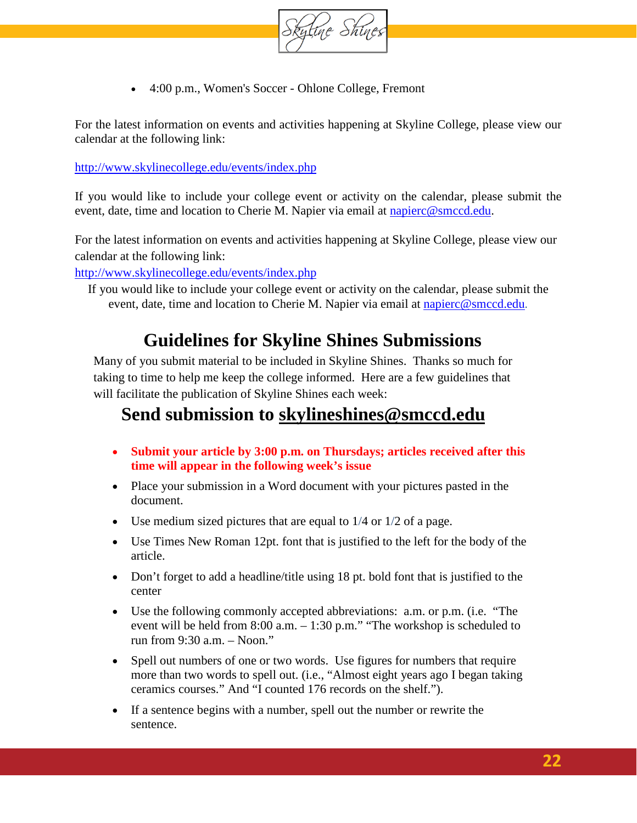

• 4:00 p.m., [Women's Soccer -](http://www.skylinecollege.edu/events/index.php?id=skypio%40my.smccd.edu&eventid=erl3a7sokrev5hs40u9eqsbluo) Ohlone College, Fremont

For the latest information on events and activities happening at Skyline College, please view our calendar at the following link:

<http://www.skylinecollege.edu/events/index.php>

If you would like to include your college event or activity on the calendar, please submit the event, date, time and location to Cherie M. Napier via email at [napierc@smccd.edu.](mailto:napierc@smccd.edu)

For the latest information on events and activities happening at Skyline College, please view our calendar at the following link:

<http://www.skylinecollege.edu/events/index.php>

If you would like to include your college event or activity on the calendar, please submit the event, date, time and location to Cherie M. Napier via email at [napierc@smccd.edu](mailto:napierc@smccd.edu).

### **Guidelines for Skyline Shines Submissions**

Many of you submit material to be included in Skyline Shines. Thanks so much for taking to time to help me keep the college informed. Here are a few guidelines that will facilitate the publication of Skyline Shines each week:

### **Send submission to [skylineshines@smccd.edu](mailto:skylineshines@smccd.edu)**

- **Submit your article by 3:00 p.m. on Thursdays; articles received after this time will appear in the following week's issue**
- Place your submission in a Word document with your pictures pasted in the document.
- Use medium sized pictures that are equal to  $1/4$  or  $1/2$  of a page.
- Use Times New Roman 12pt. font that is justified to the left for the body of the article.
- Don't forget to add a headline/title using 18 pt. bold font that is justified to the center
- Use the following commonly accepted abbreviations: a.m. or p.m. (i.e. "The event will be held from 8:00 a.m. – 1:30 p.m." "The workshop is scheduled to run from 9:30 a.m. – Noon."
- Spell out numbers of one or two words. Use figures for numbers that require more than two words to spell out. (i.e., "Almost eight years ago I began taking ceramics courses." And "I counted 176 records on the shelf.").
- If a sentence begins with a number, spell out the number or rewrite the sentence.